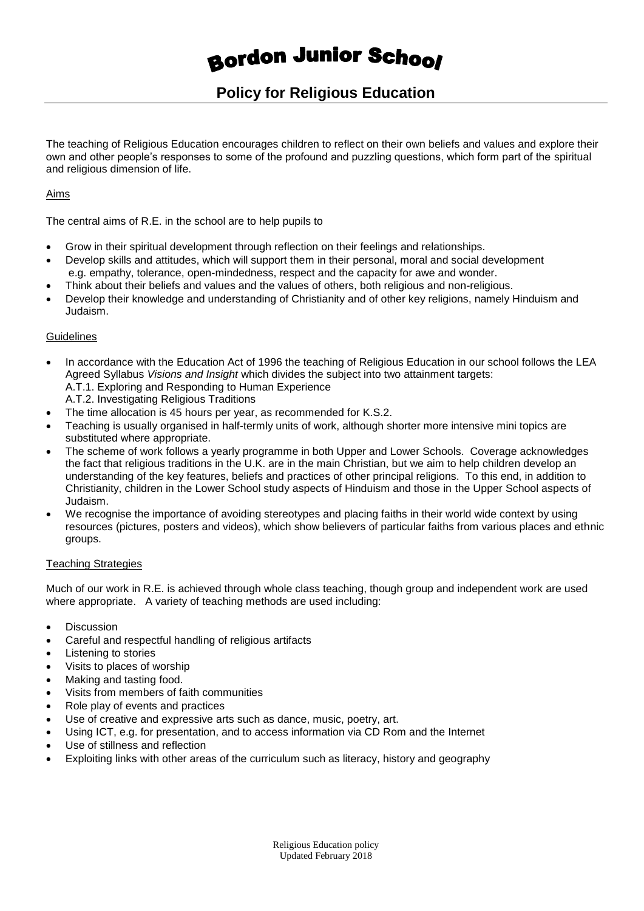# **Bordon Junior School**

# **Policy for Religious Education**

The teaching of Religious Education encourages children to reflect on their own beliefs and values and explore their own and other people's responses to some of the profound and puzzling questions, which form part of the spiritual and religious dimension of life.

## Aims

The central aims of R.E. in the school are to help pupils to

- Grow in their spiritual development through reflection on their feelings and relationships.
- Develop skills and attitudes, which will support them in their personal, moral and social development e.g. empathy, tolerance, open-mindedness, respect and the capacity for awe and wonder.
- Think about their beliefs and values and the values of others, both religious and non-religious.
- Develop their knowledge and understanding of Christianity and of other key religions, namely Hinduism and Judaism.

### **Guidelines**

- In accordance with the Education Act of 1996 the teaching of Religious Education in our school follows the LEA Agreed Syllabus *Visions and Insight* which divides the subject into two attainment targets: A.T.1. Exploring and Responding to Human Experience
	- A.T.2. Investigating Religious Traditions
- The time allocation is 45 hours per year, as recommended for K.S.2.
- Teaching is usually organised in half-termly units of work, although shorter more intensive mini topics are substituted where appropriate.
- The scheme of work follows a yearly programme in both Upper and Lower Schools. Coverage acknowledges the fact that religious traditions in the U.K. are in the main Christian, but we aim to help children develop an understanding of the key features, beliefs and practices of other principal religions. To this end, in addition to Christianity, children in the Lower School study aspects of Hinduism and those in the Upper School aspects of Judaism.
- We recognise the importance of avoiding stereotypes and placing faiths in their world wide context by using resources (pictures, posters and videos), which show believers of particular faiths from various places and ethnic groups.

#### Teaching Strategies

Much of our work in R.E. is achieved through whole class teaching, though group and independent work are used where appropriate. A variety of teaching methods are used including:

- Discussion
- Careful and respectful handling of religious artifacts
- Listening to stories
- Visits to places of worship
- Making and tasting food.
- Visits from members of faith communities
- Role play of events and practices
- Use of creative and expressive arts such as dance, music, poetry, art.
- Using ICT, e.g. for presentation, and to access information via CD Rom and the Internet
- Use of stillness and reflection
- Exploiting links with other areas of the curriculum such as literacy, history and geography